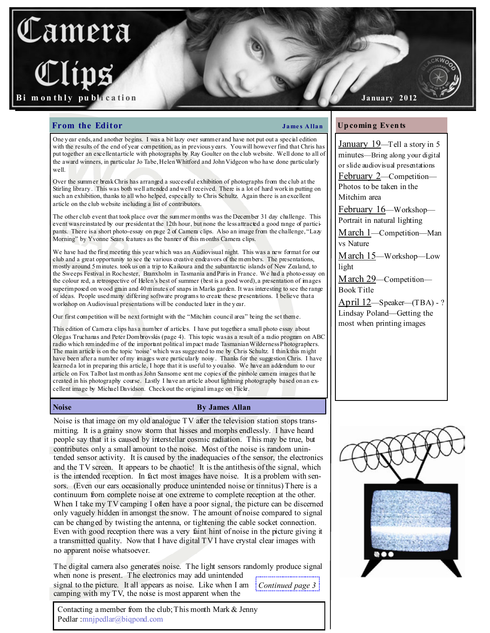# amera m on thly publication

January 2012

January 19—Tell a story in 5 minutes—Bring along your digital or slide audiovisual presentations February 2—Competition— Photos to be taken in the

February 16—Workshop— Portrait in natural lighting

March 1—Competition—Man

March 15—Workshop—Low

March 29—Competition—

April 12—Speaker—(TBA) - ? Lindsay Poland—Getting the most when printing images

Up comin g Even ts

Mitchim area

vs Nature

Book Title

light

# From the Editor **James Allan**

One y ear ends, and another begins. I was a bit lazy over summer and have not put out a special edition with the results of the end of year competition, as in previous y ears. You will however find that Chris has put together an excellent article with photographs by Ray Goulter on the club website. Well done to all of the award winners, in particular Jo Tabe, Helen Whitford and John Vidgeon who have done particularly well

Over the summer break Chris has arranged a successful exhibition of photographs from the club at the Stirling library . This was both well attended and well received. There is a lot of hard work in putting on such an exhibition, thanks to all who helped, especially to Chris Schultz. Again there is an excellent article on the club website including a list of contributors.

The other club event that took place over the summer months was the December 31 day challenge. This event was reinstated by our president at the 12th hour, but none the less attracted a good range of participants. There is a short photo-essay on page 2 of Camera clips. Also an image from the challenge, "Lazy Morning" by Yvonne Sears features as the banner of this months Camera clips.

We have had the first meeting this year which was an Audiovisual night. This was a new format for our club and a great opportunity to see the various creative endeavors of the members. The presentations, mostly around 5 minutes. took us on a trip to Kaikoura and the subantarctic islands of New Zealand, to the Sweeps Festival in Rochester, Branxholm in Tasmania and Paris in France. We had a photo-essay on the colour red, a retrospective of Helen's best of summer (best is a good word), a presentation of mages superimposed on wood grain and 40 minutes of snaps in Marks garden. It was interesting to see the range of ideas. People used many differing software programs to create these presentations. I believe that a workshop on Audiovisual presentations will be conducted later in the y ear.

Our first competition will be next fortnight with the "Mitchim council area" being the set theme.

This edition of Camera clips has a number of articles. I have put together a small photo essay about Olegas Truchanas and Peter Dombrovskis (page 4). This topic was as a result of a radio program on ABC radio which reminded me of the important political impact made Tasmanian Wilderness Photographers. The main article is on the topic 'noise' which was suggested to me by Chris Schultz. I think this might have been after a number of my images were particularly noisy. Thanks for the suggestion Chris. I have learned a lot in preparing this article, I hope that it is useful to y ou also. We have an addendum to our article on Fox Talbot last month as John Sansome sent me copies of the pinhole camera images that he created in his photography course. Lastly I have an article about lightning photography based on an excellent image by Michael Davidson. Check out the original image on Flickr.

# Noise By James Allan

Noise is that image on my old analogue TV after the television station stops transmitting. It is a grainy snow storm that hisses and morphs endlessly. I have heard people say that it is caused by interstellar cosmic radiation. This may be true, but contributes only a small amount to the noise. Most of the noise is random unintended sensor activity. It is caused by the inadequacies of the sensor, the electronics and the TV screen. It appears to be chaotic! It is the antithesis of the signal, which is the intended reception. In fact most images have noise. It is a problem with sensors. (Even our ears occasionally produce unintended noise or tinnitus) There is a continuum from complete noise at one extreme to complete reception at the other. When I take my TV camping I often have a poor signal, the picture can be discerned only vaguely hidden in amongst the snow. The amount of noise compared to signal can be changed by twisting the antenna, or tightening the cable socket connection. Even with good reception there was a very faint hint of noise in the picture giving it a transmitted quality. Now that I have digital TV I have crystal clear images with no apparent noise whatsoever.

The digital camera also generates noise. The light sensors randomly produce signal when none is present. The electronics may add unintended signal to the picture. It all appears as noise. Like when I am  $\frac{1}{2}$  Continued page 3 camping with my TV, the noise is most apparent when the

Contacting a member from the club; This month Mark & Jenny Pedlar :mnjpedlar@biqpond.com

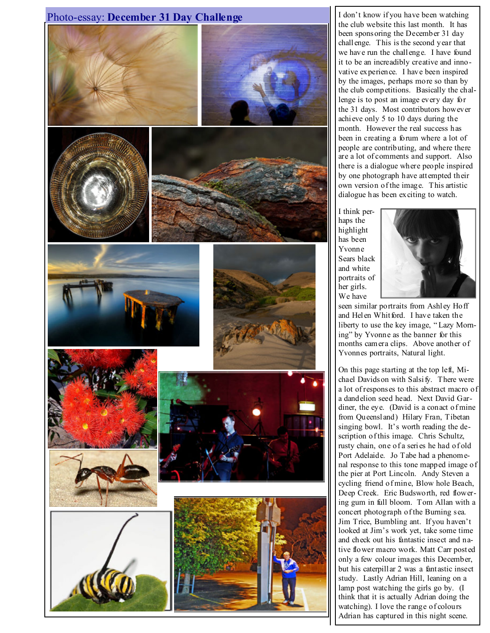

the club website this last month. It has been sponsoring the December 31 day challenge. This is the second year that we have run the challenge. I have found it to be an increadibly creative and innovative experience. I have been inspired by the images, perhaps more so than by the club competitions. Basically the challenge is to post an image every day for the 31 days. Most contributors however achieve only 5 to 10 days during the month. However the real success has been in creating a forum where a lot of people are contributing, and where there are a lot of comments and support. Also there is a dialogue where people inspired by one photograph have attempted their own version of the image. This artistic dialogue has been exciting to watch.

I think perhaps the highlight has been Yvonne Sears black and white portraits of her girls. We have



seen similar portraits from Ashley Hoff and Helen Whitford. I have taken the liberty to use the key image, " Lazy Morning" by Yvonne as the banner for this months camera clips. Above another of Yvonnes portraits, Natural light.

On this page starting at the top left, Michael Davidson with Salsify. There were a lot of responses to this abstract macro of a dandelion seed head. Next David Gardiner, the eye. (David is a conact of mine from Queensland) Hilary Fran, Tibetan singing bowl. It's worth reading the description of this image. Chris Schultz, rusty chain, one of a series he had of old Port Adelaide. Jo Tabe had a phenomenal response to this tone mapped image of the pier at Port Lincoln. Andy Steven a cycling friend of mine, Blow hole Beach, Deep Creek. Eric Budsworth, red flowering gum in full bloom. Tom Allan with a concert photograph of the Burning sea. Jim Trice, Bumbling ant. If you haven't looked at Jim's work yet, take some time and check out his fantastic insect and native flower macro work. Matt Carr posted only a few colour images this December, but his caterpillar 2 was a fantastic insect study. Lastly Adrian Hill, leaning on a lamp post watching the girls go by. (I think that it is actually Adrian doing the watching). I love the range of colours Adrian has captured in this night scene.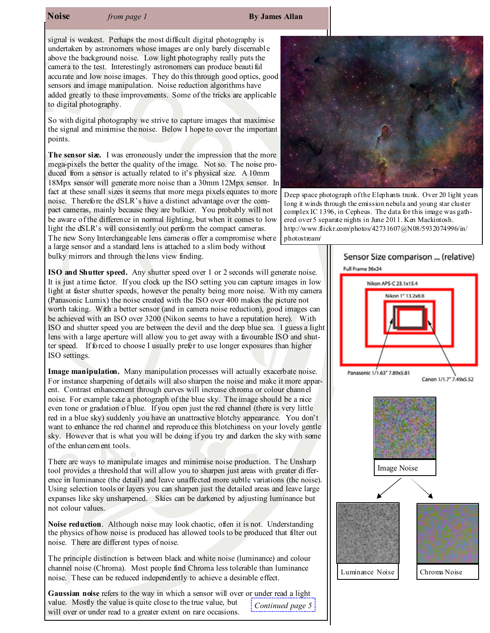# **Noise** from page 1 By James Allan

signal is weakest. Perhaps the most difficult digital photography is undertaken by astronomers whose images are only barely discernable above the background noise. Low light photography really puts the camera to the test. Interestingly astronomers can produce beautiful accurate and low noise images. They do this through good optics, good sensors and image manipulation. Noise reduction algorithms have added greatly to these improvements. Some of the tricks are applicable to digital photography.

So with digital photography we strive to capture images that maximise the signal and minimise the noise. Below I hope to cover the important points.

The sensor size. I was erroneously under the impression that the more mega-pixels the better the quality of the image. Not so. The noise produced from a sensor is actually related to it's physical size. A 10mm 18Mpx sensor will generate more noise than a 30mm 12Mpx sensor. In fact at these small sizes it seems that more mega pixels equates to more noise. Therefore the dSLR's have a distinct advantage over the compact cameras, mainly because they are bulkier. You probably will not be aware of the difference in normal lighting, but when it comes to low light the dSLR's will consistently out perform the compact cameras. The new Sony Interchangeable lens cameras offer a compromise where a large sensor and a standard lens is attached to a slim body without

bulky mirrors and through the lens view finding.

ISO and Shutter speed. Any shutter speed over 1 or 2 seconds will generate noise. It is just a time factor. If you clock up the ISO setting you can capture images in low light at faster shutter speeds, however the penalty being more noise. With my camera (Panasonic Lumix) the noise created with the ISO over 400 makes the picture not worth taking. With a better sensor (and in camera noise reduction), good images can be achieved with an ISO over 3200 (Nikon seems to have a reputation here). With ISO and shutter speed you are between the devil and the deep blue sea. I guess a light lens with a large aperture will allow you to get away with a favourable ISO and shutter speed. If forced to choose I usually prefer to use longer exposures than higher ISO settings.

Image manipulation. Many manipulation processes will actually exacerbate noise. For instance sharpening of details will also sharpen the noise and make it more apparent. Contrast enhancement through curves will increase chroma or colour channel noise. For example take a photograph of the blue sky. The image should be a nice even tone or gradation of blue. If you open just the red channel (there is very little red in a blue sky) suddenly you have an unattractive blotchy appearance. You don't want to enhance the red channel and reproduce this blotchiness on your lovely gentle sky. However that is what you will be doing if you try and darken the sky with some of the enhancement tools.

There are ways to manipulate images and minimise noise production. The Unsharp tool provides a threshold that will allow you to sharpen just areas with greater difference in luminance (the detail) and leave unaffected more subtle variations (the noise). Using selection tools or layers you can sharpen just the detailed areas and leave large expanses like sky unsharpened. Skies can be darkened by adjusting luminance but not colour values.

Noise reduction. Although noise may look chaotic, often it is not. Understanding the physics of how noise is produced has allowed tools to be produced that filter out noise. There are different types of noise.

The principle distinction is between black and white noise (luminance) and colour channel noise (Chroma). Most people find Chroma less tolerable than luminance noise. These can be reduced independently to achieve a desirable effect.

Gaussian noise refers to the way in which a sensor will over or under read a light value. Mostly the value is quite close to the true value, but will over or under read to a greater extent on rare occasions. Continued page 5



Deep space photograph of the Elephants trunk. Over 20 light years long it winds through the emission nebula and young star cluster complex IC 1396, in Cepheus. The data for this image was gathered over 5 separate nights in June 2011. Ken Mackintosh. http://www.flickr.com/photos/42731607@N08/5932074996/in/ photostream/

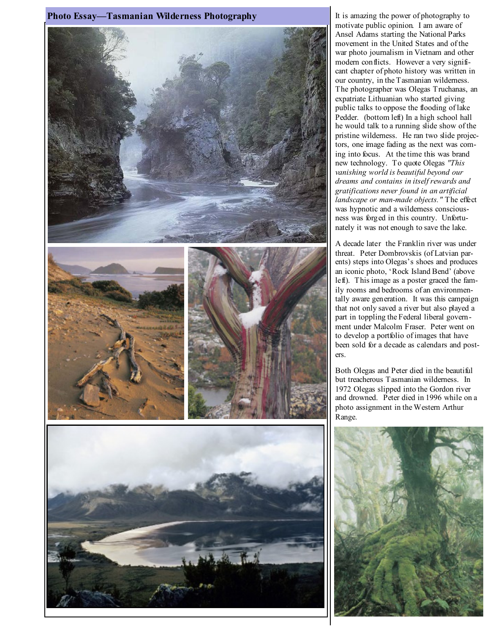

motivate public opinion. I am aware of Ansel Adams starting the National Parks movement in the United States and of the war photo journalism in Vietnam and other modern conflicts. However a very significant chapter of photo history was written in our country, in the Tasmanian wilderness. The photographer was Olegas Truchanas, an expatriate Lithuanian who started giving public talks to oppose the flooding of lake Pedder. (bottom left) In a high school hall he would talk to a running slide show of the pristine wilderness. He ran two slide projectors, one image fading as the next was coming into focus. At the time this was brand new technology. To quote Olegas "This vanishing world is beautiful beyond our dreams and contains in itself rewards and gratifications never found in an artificial landscape or man-made objects." The effect was hypnotic and a wilderness consciousness was forged in this country. Unfortunately it was not enough to save the lake.

A decade later the Franklin river was under threat. Peter Dombrovskis (of Latvian parents) steps into Olegas's shoes and produces an iconic photo, 'Rock Island Bend' (above left). This image as a poster graced the family rooms and bedrooms of an environmentally aware generation. It was this campaign that not only saved a river but also played a part in toppling the Federal liberal government under Malcolm Fraser. Peter went on to develop a portfolio of images that have been sold for a decade as calendars and posters.

Both Olegas and Peter died in the beautiful but treacherous Tasmanian wilderness. In 1972 Olegas slipped into the Gordon river and drowned. Peter died in 1996 while on a photo assignment in the Western Arthur Range.

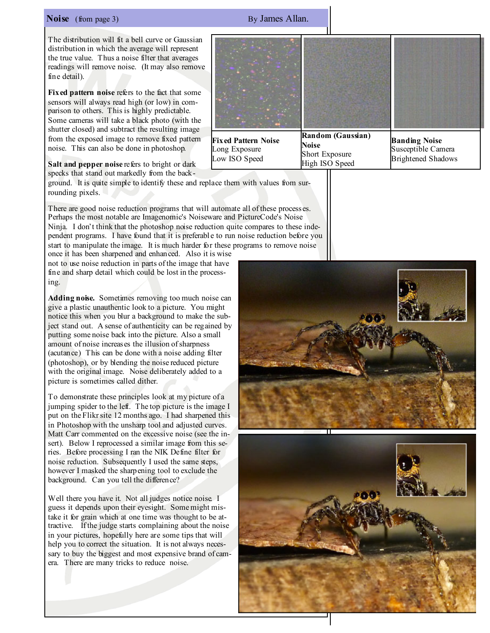# **Noise** (from page 3) By James Allan.

The distribution will fit a bell curve or Gaussian distribution in which the average will represent the true value. Thus a noise filter that averages readings will remove noise. (It may also remove fine detail).

Fixed pattern noise refers to the fact that some sensors will always read high (or low) in comparison to others. This is highly predictable. Some cameras will take a black photo (with the shutter closed) and subtract the resulting image from the exposed image to remove fixed pattern noise. This can also be done in photoshop.

Salt and pepper noise refers to bright or dark specks that stand out markedly from the back-

ground. It is quite simple to identify these and replace them with values from surrounding pixels.

There are good noise reduction programs that will automate all of these processes. Perhaps the most notable are Imagenomic's Noiseware and PictureCode's Noise Ninja. I don't think that the photoshop noise reduction quite compares to these independent programs. I have found that it is preferable to run noise reduction before you start to manipulate the image. It is much harder for these programs to remove noise

once it has been sharpened and enhanced. Also it is wise not to use noise reduction in parts of the image that have fine and sharp detail which could be lost in the processing.

Adding noise. Sometimes removing too much noise can give a plastic unauthentic look to a picture. You might notice this when you blur a background to make the subject stand out. A sense of authenticity can be regained by putting some noise back into the picture. Also a small amount of noise increases the illusion of sharpness (acutance) This can be done with a noise adding filter (photoshop), or by blending the noise reduced picture with the original image. Noise deliberately added to a picture is sometimes called dither.

To demonstrate these principles look at my picture of a jumping spider to the left. The top picture is the image I put on the Flikr site 12 months ago. I had sharpened this in Photoshop with the unsharp tool and adjusted curves. Matt Carr commented on the excessive noise (see the insert). Below I reprocessed a similar image from this series. Before processing I ran the NIK Define filter for noise reduction. Subsequently I used the same steps, however I masked the sharpening tool to exclude the background. Can you tell the difference?

Well there you have it. Not all judges notice noise. I guess it depends upon their eyesight. Some might mistake it for grain which at one time was thought to be attractive. If the judge starts complaining about the noise in your pictures, hopefully here are some tips that will help you to correct the situation. It is not always necessary to buy the biggest and most expensive brand of camera. There are many tricks to reduce noise.

Noise Short Exposure High ISO Speed

Brightened Shadows